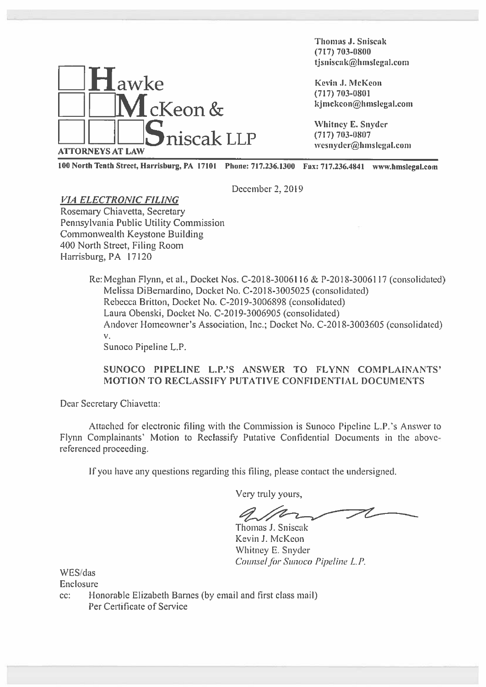

Thomas J. Sniseak (717) 703—0800 \_\_\_\_\_\_\_\_\_\_\_ thomas J. Sniscak<br>Thomas J. Sniscak<br>tjsniscak@hmslegal.com<br>tjsniscak@hmslegal.com

<sup>100</sup> North Tenth Street, Harrisburg, PA <sup>17101</sup> Phone: 717.236.1300 Fax: 717.236.4841 www.hmslegaI.com

December 2, 2019

# VIA ELECTRONIC FILING

Rosemary Chiavetta, Secretary Pennsylvania Public Utility Commission Commonwealth Keystone Building 100 North Street, Filing Room Harrisburg, PA 17120

> Re: Meghan Flynn, et al., Docket Nos. C-20 18-3006116 & P-20 18-3006117 (consolidated) Melissa DiBernardino, Docket No. C-2018-3005025 (consolidated) Rebecca Britton, Docket No. C-20 19-3006898 (consolidated) Laura Obenski, Docket No. C-20 19-3006905 (consolidated) Andover Homeowner's Association, Inc.; Docket No. C-2018-3003605 (consolidated) V.

Sunoco Pipeline L.P.

#### SUNOCO PIPELINE L.P.'S ANSWER TO FLYNN COMPLAINANTS' MOTION TO RECLASSIFY PUTATIVE CONFIDENTIAL DOCUMENTS

Dear Secretary Chiavetta:

Attached for electronic filing with the Commission is Sunoco Pipeline L.P. 's Answer to Flynn Complainants' Motion to Reclassify Putative Confidential Documents in the abovereferenced proceeding.

If you have any questions regarding this filing, please contact the undersigned.

Very truly yours,

Thomas J. Sniscak Kevin J. McKeon Whitney E. Snyder Counsel for Sunoco Pipeline L.P.

WES/das

Enclosure

cc: Honorable Elizabeth Barnes (by email and first class mail) Per Certificate of Service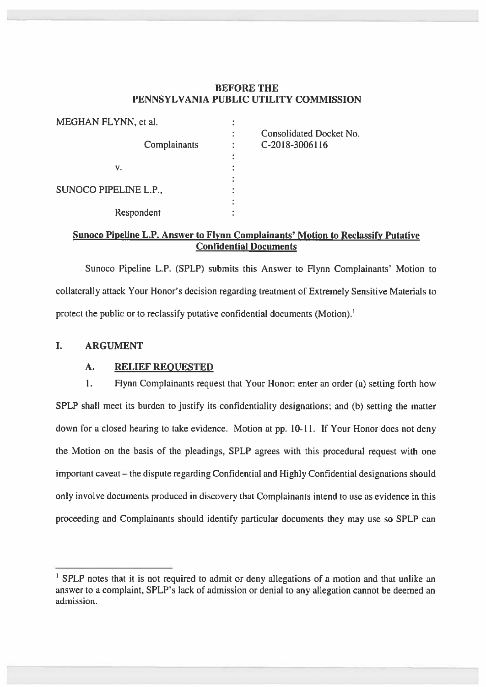## BEFORE THE PENNSYLVANIA PUBLIC UTILITY COMMISSION

| MEGHAN FLYNN, et al.  |              |                                           |
|-----------------------|--------------|-------------------------------------------|
|                       | Complainants | Consolidated Docket No.<br>C-2018-3006116 |
|                       |              |                                           |
| ٧.                    |              |                                           |
|                       |              |                                           |
| SUNOCO PIPELINE L.P., |              |                                           |
|                       |              |                                           |
| Respondent            |              |                                           |

#### Sunoco Pipeline L.P. Answer to Flynn Complainants' Motion to Reclassify Putative Confidential Documents

Sunoco Pipeline L.P. (SPLP) submits this Answer to Flynn Complainants' Motion to collaterally attack Your Honor's decision regarding treatment of Extremely Sensitive Materials to protect the public or to reclassify putative confidential documents (Motion).<sup>1</sup>

## I. ARGUMENT

## A. RELIEF REQUESTED

1. Flynn Complainants request that Your Honor: enter an order (a) setting forth how SPLP shall meet its burden to justify its confidentiality designations; and (b) setting the matter down for <sup>a</sup> closed hearing to take evidence. Motion at pp. 10-lI. If Your Honor does not deny the Motion on the basis of the pleadings, SPLP agrees with this procedural reques<sup>t</sup> with one important caveat — the dispute regarding Confidential and Highly Confidential designations should only involve documents produced in discovery that Complainants intend to use as evidence in this proceeding and Complainants should identify particular documents they may use so SPLP can

<sup>&</sup>lt;sup>1</sup> SPLP notes that it is not required to admit or deny allegations of a motion and that unlike an answer to <sup>a</sup> complaint, SPLP's lack of admission or denial to any allegation cannot be deemed an admission.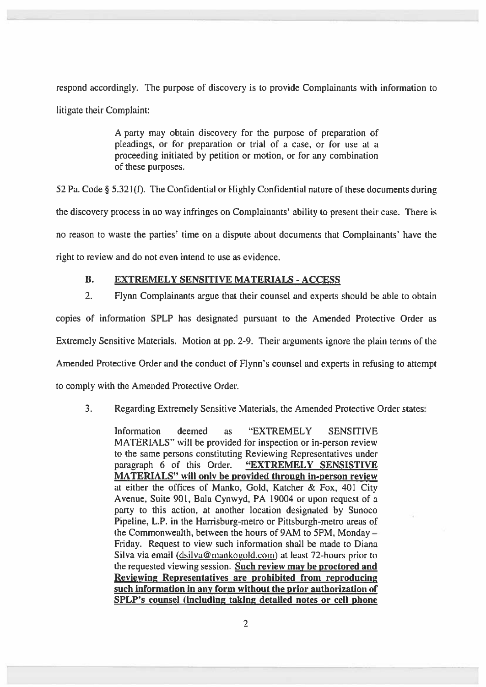respond accordingly. The purpose of discovery is to provide Complainants with information to litigate their Complaint:

> A party may obtain discovery for the purpose of preparation of pleadings, or for preparation or trial of <sup>a</sup> case, or for use at <sup>a</sup> proceeding initiated by petition or motion, or for any combination of these purposes.

52 Pa. Code § 5.321(f). The Confidential or Highly Confidential nature of these documents during the discovery process in no way infringes on Complainants' ability to presen<sup>t</sup> their case. There is no reason to waste the parties' time on <sup>a</sup> dispute about documents that Complainants' have the right to review and do not even intend to use as evidence.

## B. EXTREMELY SENSITIVE MATERIALS - ACCESS

2. Flynn Complainants argue that their counsel and experts should be able to obtain

copies of information SPLP has designated pursuan<sup>t</sup> to the Amended Protective Order as Extremely Sensitive Materials. Motion at pp. 2-9. Their arguments ignore the <sup>p</sup>lain terms of the Amended Protective Order and the conduct of Flynn's counsel and experts in refusing to attempt to comply with the Amended Protective Order.

## 3. Regarding Extremely Sensitive Materials, the Amended Protective Order states:

Information deemed as "EXTREMELY SENSITIVE MATERIALS" will be provided for inspection or in-person review to the same persons constituting Reviewing Representatives under paragraph 6 of this Order. "EXTREMELY SENSISTIVE MATERIALS" will only be provided through in-person review at either the offices of Manko, Gold, Katcher & Fox, 401 City Avenue, Suite 901, Bala Cynwyd, PA 19004 or upon reques<sup>t</sup> of <sup>a</sup> party to this action, at another location designated by Sunoco Pipeline, L.P. in the Harrisburg-metro or Pittsburgh-metro areas of the Commonwealth, between the hours of 9AM to 5PM, Monday — Friday. Request to view such information shall be made to Diana Silva via email (dsilva@mankogold.com) at least 72-hours prior to the requested viewing session. Such review may be proctored and Reviewing Representatives are prohibited from reproducing such information in any form without the prior authorization of SPLP's counsel (including taking detailed notes or cell phone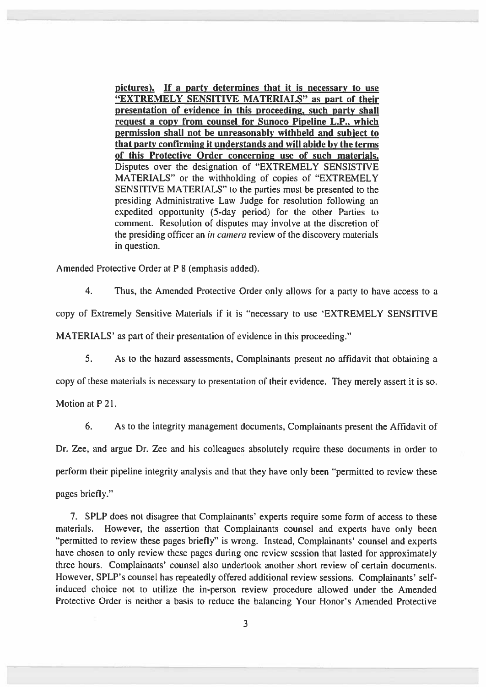<sup>p</sup>ictures). If <sup>a</sup> party determines that it is necessary to use "EXTREMELY SENSITIVE MATERIALS" as par<sup>t</sup> of their presentation of evidence in this proceeding, such party shall reques<sup>t</sup> <sup>a</sup> copy from counsel for Sunoco Pipeline L.P., which permission shall not be unreasonably withheld and subiect to that party confirming it understands and will abide by the terms of this Protective Order concerning use of such materials. Disputes over the designation of "EXTREMELY SENSISTIVE MATERIALS" or the withholding of copies of "EXTREMELY SENSITIVE MATERIALS' to the parties must be presented to the presiding Administrative Law Judge for resolution following an expedited opportunity (5-day period) for the other Parties to comment. Resolution of disputes may involve at the discretion of the presiding officer an in camera review of the discovery materials in question.

Amended Protective Order at <sup>P</sup> 8 (emphasis added).

4. Thus, the Amended Protective Order only allows for <sup>a</sup> party to have access to <sup>a</sup> copy of Extremely Sensitive Materials if it is "necessary to use 'EXTREMELY SENSITIVE MATERIALS' as par<sup>t</sup> of their presentation of evidence in this proceeding."

5. As to the hazard assessments, Complainants presen<sup>t</sup> no affidavit that obtaining <sup>a</sup>

copy of these materials is necessary to presentation of their evidence. They merely assert it is so.

Motion at P 21.

6. As to the integrity managemen<sup>t</sup> documents, Complainants presen<sup>t</sup> the Affidavit of Dr. Zee. and argue Dr. Zee and his colleagues absolutely require these documents in order to perform their pipeline integrity analysis and that they have only been "permitted to review these pages briefly."

7. SPLP does not disagree that Complainants' experts require some form of access to these materials. However, the assertion that Complainants counsel and experts have only been "permitted to review these pages briefly" is wrong. Instead, Complainants' counsel and experts have chosen to only review these pages during one review session that lasted for approximately three hours. Complainants' counsel also undertook another short review of certain documents. However, SPLP's counsel has repeatedly offered additional review sessions. Complainants' selfinduced choice not to utilize the in-person review procedure allowed under the Amended Protective Order is neither <sup>a</sup> basis to reduce the balancing Your Honor's Amended Protective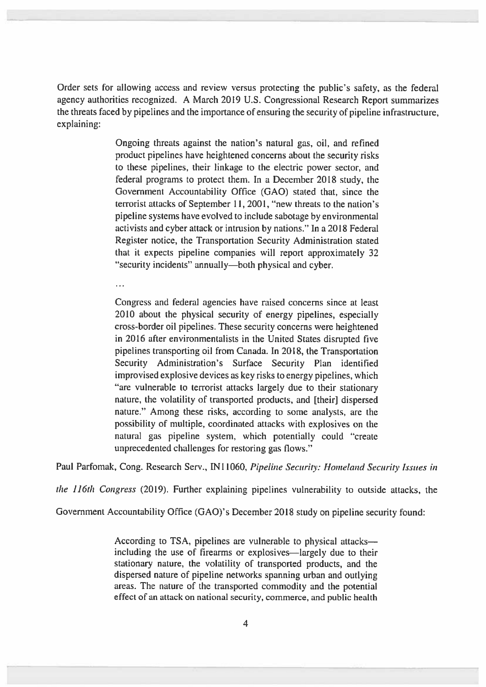Order sets for allowing access and review versus protecting the public's safety, as the federal agency authorities recognized. <sup>A</sup> March 2019 U.S. Congressional Research Report summarizes the threats faced by pipelines and the importance of ensuring the security of pipeline infrastructure, explaining:

> Ongoing threats against the nation's natural gas, oil, and refined product pipelines have heightened concerns about the security risks to these pipelines, their linkage to the electric power sector, and federal programs to protect them. In <sup>a</sup> December 2018 study, the Government Accountability Office (GAO) stated that, since the terrorist attacks of September 11,2001, "new threats to the nation's pipeline systems have evolved to include sabotage by environmental activists and cyber attack or intrusion by nations." In <sup>a</sup> 2018 Federal Register notice, the Transportation Security Administration stated that it expects pipeline companies will repor<sup>t</sup> approximately 32 "security incidents" annually—both <sup>p</sup>hysical and cyber.

 $\sim$   $\sim$   $\sim$ 

Congress and federal agencies have raised concerns since at least 2010 about the <sup>p</sup>hysical security of energy <sup>p</sup>ipelines, especially cross-border oil pipelines. These security concerns were heightened in 2016 after environmentalists in the United States disrupted five pipelines transporting oil from Canada. In 2018, the Transportation Security Administration's Surface Security Plan identified improvised explosive devices as key risks to energy pipelines, which "are vulnerable to terrorist attacks largely due to their stationary nature, the volatility of transported products, and [their] dispersed nature." Among these risks, according to some analysts, are the possibility of multiple, coordinated attacks with explosives on the natural gas pipeline system, which potentially could "create unprecedented challenges for restoring gas flows."

Paul Parfomak, Cong. Research Serv., IN11060, Pipeline Security: Homeland Security Issues in

the 116th Congress (2019). Further explaining pipelines vulnerability to outside attacks, the

Government Accountability Office (GAO)'s December <sup>2018</sup> study on <sup>p</sup>ipeline security found:

According to TSA. pipelines are vulnerable to physical attacks including the use of firearms or explosives—largely due to their stationary nature, the volatility of transported products, and the dispersed nature of <sup>p</sup>ipeline networks spanning urban and outlying areas. The nature of the transported commodity and the potential effect of an attack on national security, commerce, and public health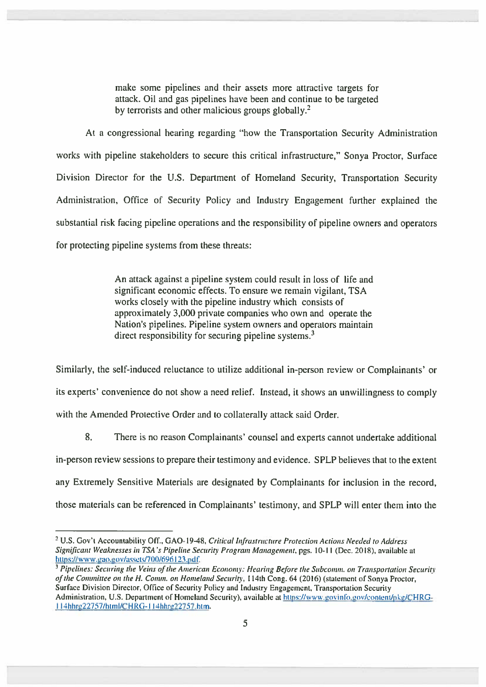make some pipelines and their assets more attractive targets for attack. Oil and gas pipelines have been and continue to be targeted by terrorists and other malicious groups globally.<sup>2</sup>

At <sup>a</sup> congressional hearing regarding "how the Transportation Security Administration works with pipeline stakeholders to secure this critical infrastructure," Sonya Proctor, Surface Division Director for the U.S. Department of Homeland Security, Transportation Security Administration, Office of Security Policy and Industry Engagement further explained the substantial risk facing pipeline operations and the responsibility of pipeline owners and operators for protecting pipeline systems from these threats:

> An attack against <sup>a</sup> pipeline system could result in loss of life and significant economic effects. To ensure we remain vigilant, TSA works closely with the pipeline industry which consists of approximately 3,000 private companies who own and operate the Nation's pipelines. Pipeline system owners and operators maintain direct responsibility for securing pipeline systems.<sup>3</sup>

Similarly, the self-induced reluctance to utilize additional in-person review or Complainants' or its experts' convenience do not show a need relief. Instead, it shows an unwillingness to comply with the Amended Protective Order and to collaterally attack said Order.

8. There is no reason Complainants' counsel and experts cannot undertake additional in-person review sessions to prepare their testimony and evidence. SPLP believes that to the extent any Extremely Sensitive Materials are designated by Complainants for inclusion in the record, those materials can be referenced in Complainants' testimony, and SPLP will enter them into the

<sup>&</sup>lt;sup>2</sup> U.S. Gov't Accountability Off., GAO-19-48, Critical Infrastructure Protection Actions Needed to Address Significant Weaknesses in TSA 's Pipeline Security Program Management, pgs. 10-Il (Dec. 2018). available at https://www.gao.gov/assets/700/696123.pdf.

<sup>&</sup>lt;sup>3</sup> Pipelines: Securing the Veins of the American Economy: Hearing Before the Subcomm. on Transportation Security of the Committee on the H. Comm. on Homeland Security, 114th Cong. 64 (2016) (statement of Sonya Proctor, Surface Division Director, Office of Security Policy and Industry Engagement, Transportation Security Administration, U.S. Department of Homeland Security), available at https://www.govinfo.gov/content/pkg/CHRG-I l4hhit222757/Iitml/CHRG-l 14hhre22757.htm.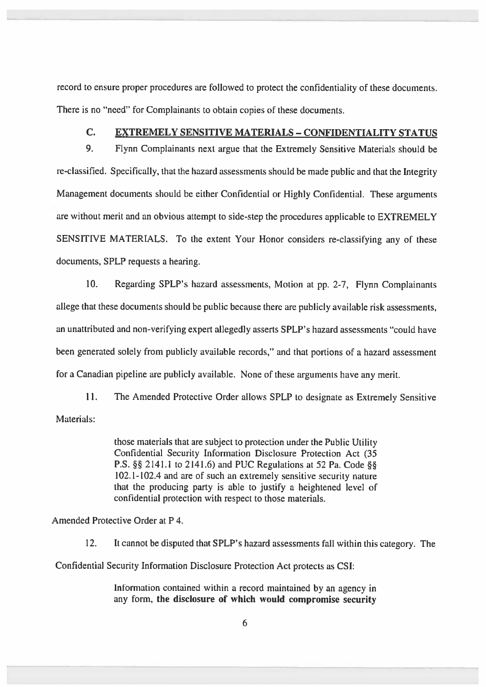record to ensure proper procedures are followed to protect the confidentiality of these documents. There is no "need" for Complainants to obtain copies of these documents.

## C. EXTREMELY SENSITIVE MATERIALS - CONFIDENTIALITY STATUS

9. Flynn Complainants next argue that the Extremely Sensitive Materials should be re-classified. Specifically, that the hazard assessments should be made public and that the Integrity Management documents should be either Confidential or Highly Confidential. These arguments are without merit and an obvious attempt to side-step the procedures applicable to EXTREMELY SENSITIVE MATERIALS. To the extent Your Honor considers re-classifying any of these documents, SPLP requests <sup>a</sup> hearing.

10. Regarding SPLP's hazard assessments, Motion at pp. 2-7, Flynn Complainants allege that these documents should be public because there are publicly available risk assessments, an unattributed and non-verifying expert allegedly asserts SPLP's hazard assessments "could have been generated solely from publicly available records," and that portions of <sup>a</sup> hazard assessment for <sup>a</sup> Canadian <sup>p</sup>ipeline are publicly available. None of these arguments have any merit.

11. The Amended Protective Order allows SPLP to designate as Extremely Sensitive Materials:

> those materials that are subject to protection under the Public Utility Confidential Security Information Disclosure Protection Act (35 P.S. §§ 2141.1 to 2141.6) and PUC Regulations at 52 Pa. Code §§ 102.1-102.4 and are of such an extremely sensitive security nature that the producing party is able to justify <sup>a</sup> heightened level of confidential protection with respec<sup>t</sup> to those materials.

Amended Protective Order at P4.

12. It cannot be disputed that SPLP's hazard assessments fall within this category. The

Confidential Security Information Disclosure Protection Act protects as CSI:

Information contained within <sup>a</sup> record maintained by an agency in any form, the disclosure of which would compromise security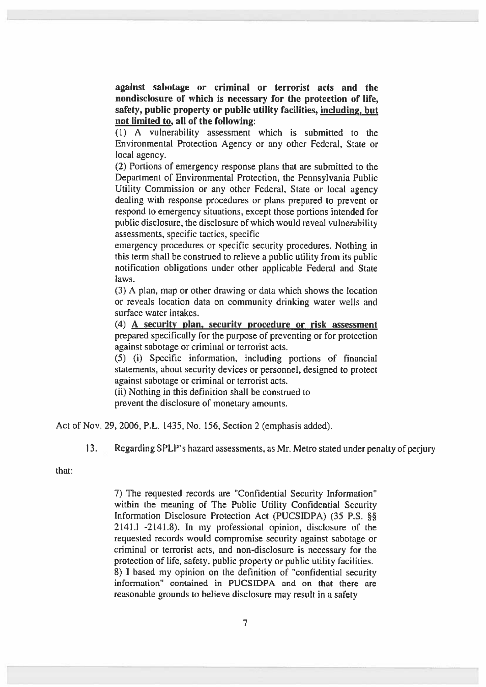against sabotage or criminal or terrorist acts and the nondisclosure of which is necessary for the protection of life, safety, public property or public utility facilities, including, but not limited to, all of the following:

(1) A vulnerability assessment which is submitted to the Environmental Protection Agency or any other Federal, State or local agency.

(2) Portions of emergency response plans that are submitted to the Department of Environmental Protection, the Pennsylvania Public Utility Commission or any other Federal, State or local agency dealing with response procedures or <sup>p</sup>lans prepared to preven<sup>t</sup> or respond to emergency situations, excep<sup>t</sup> those portions intended for public disclosure, the disclosure of which would reveal vulnerability assessments, specific tactics, specific

emergency procedures or specific security procedures. Nothing in this term shall be construed to relieve <sup>a</sup> public utility from its public notification obligations under other applicable Federal and State laws.

(3) A plan, map or other drawing or data which shows the location or reveals location data on community drinking water wells and surface water intakes.

(4) A security plan, security procedure or risk assessment prepared specifically for the purpose of preventing or for protection against sabotage or criminal or terrorist acts.

(5) (i) Specific information, including portions of financial statements, about security devices or personnel, designed to protect against sabotage or criminal or terrorist acts.

(ii) Nothing in this definition shall be construed to preven<sup>t</sup> the disclosure of monetary amounts.

Act of Nov. 29, 2006, P.L. 1435, No. 156. Section 2 (emphasis added).

13. Regarding SPLP's hazard assessments, as Mr. Metro stated under penalty of perjury

that:

7) The requested records are "Confidential Security Information" within the meaning of The Public Utility Confidential Security Information Disclosure Protection Act (PUCSIDPA) (35 P.S. § 2141.1 -2141.8). In my professional opinion, disclosure of the requested records would compromise security against sabotage or criminal or terrorist acts, and non-disclosure is necessary for the protection of life, safety, public property or public utility facilities. 8) <sup>1</sup> based my opinion on the definition of "confidential security information" contained in PUCSIDPA and on that there are reasonable grounds to believe disclosure may result in <sup>a</sup> safety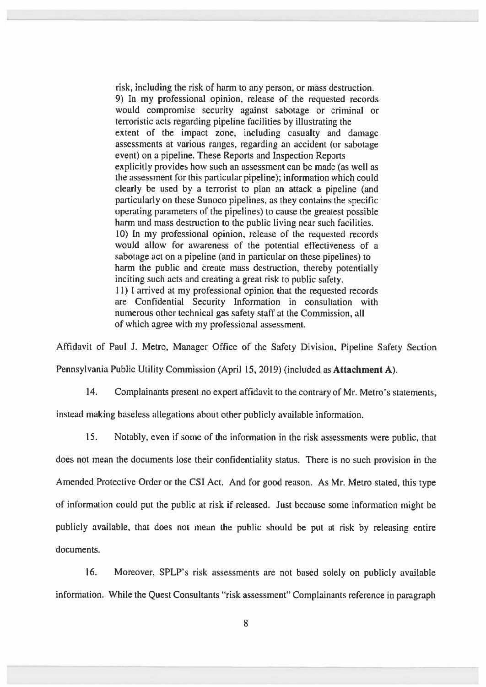risk, including the risk of harm to any person, or mass destruction. 9) In my professional opinion, release of the requested records would compromise security against sabotage or criminal or terroristic acts regarding pipeline facilities by illustrating the extent of the impact zone, including casualty and damage assessments at various ranges, regarding an accident (or sabotage event) on <sup>a</sup> pipeline. These Reports and Inspection Reports explicitly provides how such an assessment can be made (as well as the assessment for this particular pipeline); information which could clearly be used by <sup>a</sup> terrorist to plan an attack <sup>a</sup> pipeline (and particularly on these Sunoco pipelines, as they contains the specific operating parameters of the <sup>p</sup>ipelines) to cause the greatest possible harm and mass destruction to the public living near such facilities. 10) In my professional opinion, release of the requested records would allow for awareness of the potential effectiveness of <sup>a</sup> sabotage act on <sup>a</sup> pipeline (and in particular on these pipelines) to harm the public and create mass destruction, thereby potentially inciting such acts and creating <sup>a</sup> grea<sup>t</sup> risk to public safety. Il) <sup>I</sup> arrived at my professional opinion that the requested records are Confidential Security Information in consultation with numerous other technical gas safety staff at the Commission, all of which agree with my professional assessment.

Affidavit of Paul J. Metro, Manager Office of the Safety Division, Pipeline Safety Section

Pennsylvania Public Utility Commission (April 15, 2019) (included as Attachment A).

14. Complainants presen<sup>t</sup> no exper<sup>t</sup> affidavit to the contrary of Mr. Metro's statements,

instead making baseless allegations about other publicly available information.

15. Notably, even if some of the information in the risk assessments were public, that does not mean the documents lose their confidentiality status. There is no such provision in the Amended Protective Order or the CSI Act. And for good reason. As Mr. Metro stated, this type of information could pu<sup>t</sup> the public at risk if released. Just because some information might be publicly available, that does not mean the public should be pu<sup>t</sup> at risk by releasing entire documents.

16. Moreover, SPLP's risk assessments are not based solely on publicly available information. While the Quest Consultants "risk assessment" Complainants reference in paragrap<sup>h</sup>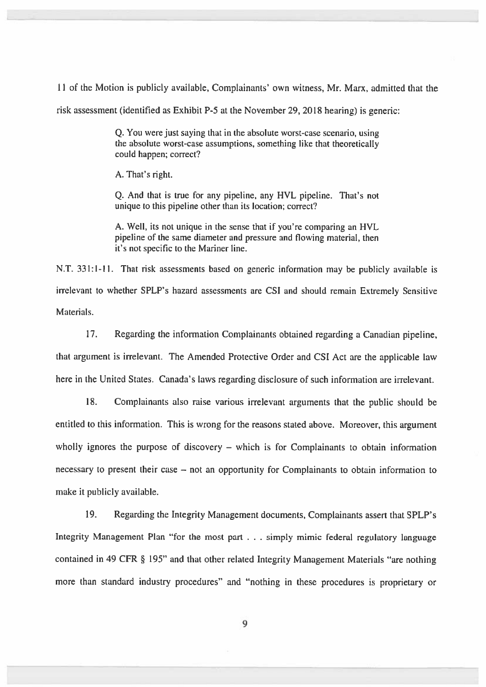11 of the Motion is publicly available, Complainants' own witness, Mr. Marx, admitted that the

risk assessment (identified as Exhibit P-5 at the November 29, 2018 hearing) is generic:

Q. You were just saying that in the absolute worst-case scenario, using the absolute worst-case assumptions, something like that theoretically could happen; correct?

A. That's right.

Q. And that is true for any <sup>p</sup>ipeline, any HVL <sup>p</sup>ipeline. That's not unique to this pipeline other than its location; correct?

A. Well, its not unique in the sense that if you're comparing an HVL pipeline of the same diameter and pressure and flowing material, then it's not specific to the Mariner line.

N.T. 331:1-Il. That risk assessments based on generic information may be publicly available is irrelevant to whether SPLP's hazard assessments are CSI and should remain Extremely Sensitive Materials.

17. Regarding the information Complainants obtained regarding <sup>a</sup> Canadian pipeline, that argumen<sup>t</sup> is irrelevant. The Amended Protective Order and CSI Act are the applicable law here in the United States. Canada's laws regarding disclosure of such information are irrelevant.

18. Complainants also raise various irrelevant arguments that the public should be entitled to this information. This is wrong for the reasons stated above. Moreover, this argumen<sup>t</sup> wholly ignores the purpose of discovery – which is for Complainants to obtain information necessary to presen<sup>t</sup> their case — not an opportunity for Complainants to obtain information to make it publicly available.

19. Regarding the Integrity Management documents, Complainants assert that SPLP's Integrity Management Plan "for the most par<sup>t</sup> . . . simply mimic federal regulatory language contained in <sup>49</sup> CFR § 195" and that other related Integrity Management Materials "are nothing more than standard industry procedures" and "nothing in these procedures is proprietary or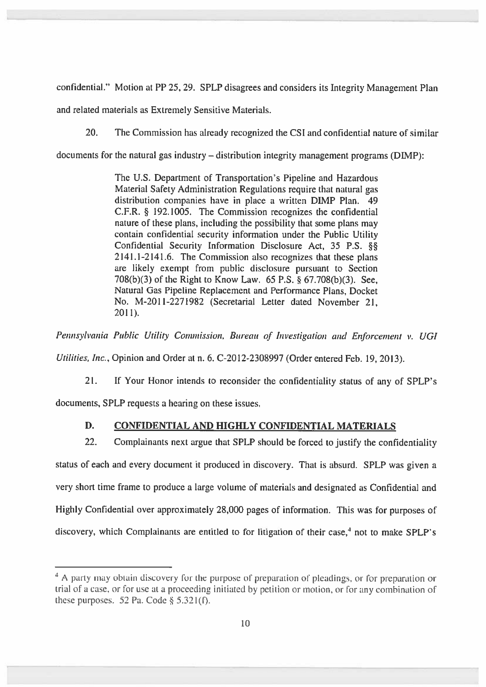confidential." Motion at PP 25, 29. SPLP disagrees and considers its Integrity Management Plan

and related materials as Extremely Sensitive Materials.

20. The Commission has already recognized the CSI and confidential nature of similar

documents for the natural gas industry — distribution integrity managemen<sup>t</sup> programs (DIMP):

The U.S. Department of Transportation's Pipeline and Hazardous Material Safety Administration Regulations require that natural gas distribution companies have in place <sup>a</sup> written DIMP Plan. 49 C.F.R. § 192.1005. The Commission recognizes the confidential nature of these <sup>p</sup>lans, including the possibility that some <sup>p</sup>lans may contain confidential security information under the Public Utility Confidential Security Information Disclosure Act, <sup>35</sup> P.S. § 2141.1-2141.6. The Commission also recognizes that these <sup>p</sup>lans are likely exemp<sup>t</sup> from public disclosure pursuan<sup>t</sup> to Section 708(b)(3) of the Right to Know Law. <sup>65</sup> P.S. § 67.708(b)(3). See, Natural Gas Pipeline Replacement and Performance Plans, Docket No. M-201 1-227 1982 (Secretarial Letter dated November 21, 2011).

Pennsylvania Public Utility Commission, Bureau of Investigation and Enforcement v. UGI

Utilities, Inc., Opinion and Order at n. 6. C-20l2-2308997 (Order entered Feb. 19, 2013).

21. If Your Honor intends to reconsider the confidentiality status of any of SPLP's documents, SPLP requests <sup>a</sup> hearing on these issues.

## D. CONFIDENTIAL AND HIGHLY CONFIDENTIAL MATERIALS

22. Complainants next argue that SPLP should be forced to justify the confidentiality status of each and every document it produced in discovery. That is absurd. SPLP was <sup>g</sup>iven <sup>a</sup> very short time frame to produce <sup>a</sup> large volume of materials and designated as Confidential and Highly Confidential over approximately 28,000 pages of information. This was for purposes of discovery, which Complainants are entitled to for litigation of their case,<sup>4</sup> not to make SPLP's

<sup>&</sup>lt;sup>4</sup> A party may obtain discovery for the purpose of preparation of pleadings, or for preparation or trial of <sup>a</sup> case, or for use at <sup>a</sup> proceeding initiated by petition or motion, or for any combination of these purposes. 52 Pa. Code  $\S$  5.321(f).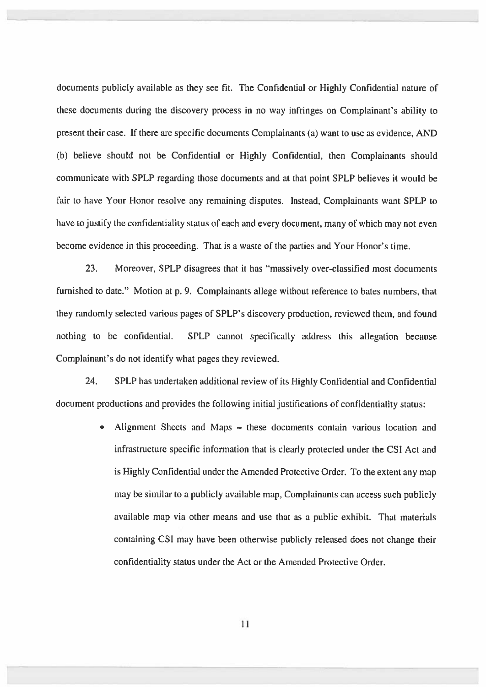documents publicly available as they see fit. The Confidential or Highly Confidential nature of these documents during the discovery process in no way infringes on Complainant's ability to presen<sup>t</sup> their case. If there are specific documents Complainants (a) want to use as evidence, AND (b) believe should not be Confidential or Highly Confidential, then Complainants should communicate with SPLP regarding those documents and at that point SPLP believes it would be fair to have Your Honor resolve any remaining disputes. Instead, Complainants want SPLP to have to justify the confidentiality status of each and every document, many of which may not even become evidence in this proceeding. That is <sup>a</sup> waste of the parties and Your Honor's time.

23. Moreover, SPLP disagrees that it has "massively over-classified most documents furnished to date." Motion at p. 9. Complainants allege without reference to bates numbers, that they randomly selected various pages of SPLP's discovery production, reviewed them, and found nothing to be confidential. SPLP cannot specifically address this allegation because Complainant's do not identify what pages they reviewed.

24. SPLP has undertaken additional review of its Highly Confidential and Confidential document productions and provides the following initial justifications of confidentiality status:

> Alignment Sheets and Maps — these documents contain various location and × infrastructure specific information that is clearly protected under the CSl Act and is Highly Confidential under the Amended Protective Order. To the extent any map may be similar to <sup>a</sup> publicly available map, Complainants can access such publicly available map via other means and use that as <sup>a</sup> public exhibit. That materials containing CSI may have been otherwise publicly released does not change their confidentiality status under the Act or the Amended Protective Order.

> > 11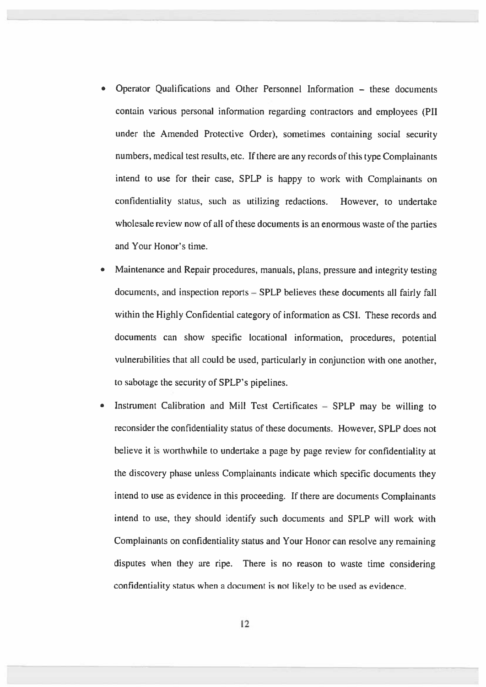- Operator Qualifications and Other Personnel Information these documents contain various personal information regarding contractors and employees (P11 under the Amended Protective Order), sometimes containing social security numbers, medical test results, etc. If there are any records of this type Complainants intend to use for their case, SPLP is happy to work with Complainants on confidentiality status, such as utilizing redactions. However, to undertake wholesale review now of all of these documents is an enormous waste of the parties and Your Honor's time.
- • Maintenance and Repair procedures, manuals, <sup>p</sup>lans, pressure and integrity testing documents, and inspection reports — SPLP believes these documents all fairly fall within the Highly Confidential category of information as CST. These records and documents can show specific locational information, procedures, potential vulnerabilities that all could be used, particularly in conjunction with one another, to sabotage the security of SPLP's pipelines.
- • Instrument Calibration and Mill Test Certificates — SPLP may be willing to reconsider the confidentiality status of these documents. However, SPLP does not believe it is worthwhile to undertake <sup>a</sup> page by page review for confidentiality at the discovery <sup>p</sup>hase unless Complainants indicate which specific documents they intend to use as evidence in this proceeding. If there are documents Complainants intend to use, they should identify such documents and SPLP will work with Complainants on confidentiality status and Your Honor can resolve any remaining disputes when they are ripe. There is no reason to waste time considering confidentiality status when <sup>a</sup> document is not likely to be used as evidence.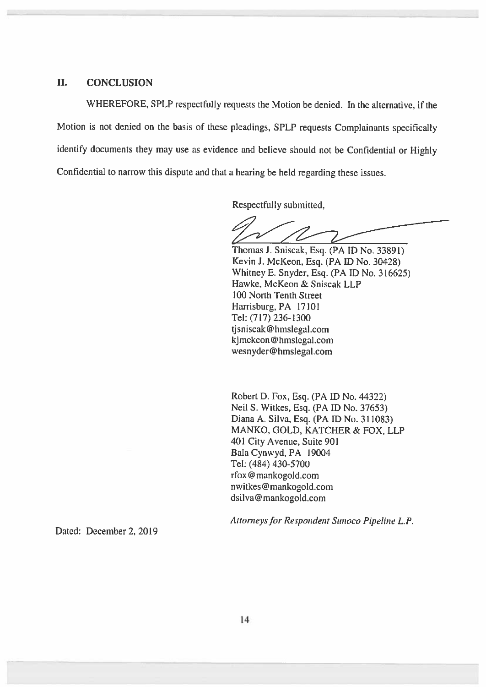#### II. CONCLUSION

WHEREFORE, SPLP respectfully requests the Motion be denied. In the alternative, if the Motion is not denied on the basis of these <sup>p</sup>leadings, SPLP requests Complainants specifically identify documents they may use as evidence and believe should not be Confidential or Highly Confidential to narrow this dispute and that <sup>a</sup> hearing be held regarding these issues.

Respectfully submitted,

Thomas J. Sniscak, Esq. (PAID No. 33891) Kevin I. McKeon, Esq. (PA ID No. 30428) Whitney E. Snyder, Esq. (PA ID No. 316625) Hawke, McKeon & Sniscak LLP 100 North Tenth Street Harrisburg, PA 17101 Tel: (717) 236-1300 tjsniscak@hmslegal.com kjmckeon @ hmslegal.com wesnyder@hmslegal.com

Robert D. Fox, Esq. (PA ID No. 44322) Neil S. Witkes, Esq. (PA ID No. 37653) Diana A. Silva, Esq. (PA ID No. 311083) MANKO, GOLD, KATCHER & FOX, LLP 401 City Avenue, Suite 90! Bala Cynwyd, PA 19004 Tel: (484) 430-5700 rfox @ mankogold.com nwitkes@mankogold.com dsilva@mankogold.com

Attorneys for Respondent Sunoco Pipeline L.P.

Dated: December 2, 2019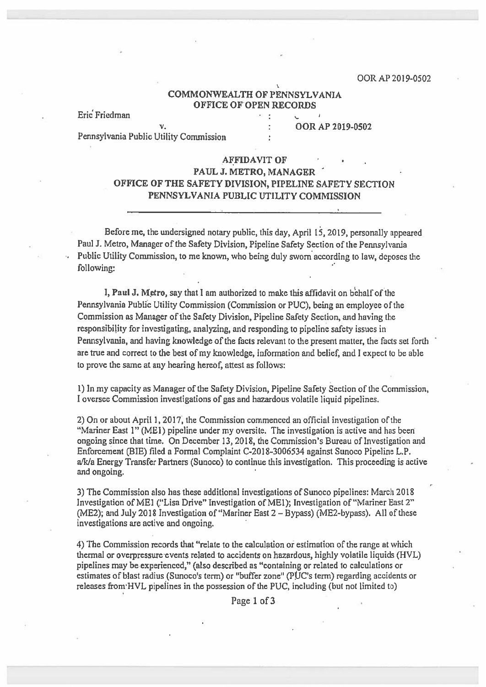#### COMMONWEALTH OF PENNSYLVANIA OFFICE OF OPEN RECORDS

 $\mathcal{L}$ 

Eric' Friedman

v. 00R AP 2019-0502

Pennsylvania Public Utility Commission

#### AFFIDAVIT OF

## PAUL J. METRO, MANAGER OFFICE OF THE SAFETY DIVISION, PIPELINE SAFETY SECTION PENNSYLVANIA PUBLIC UTILITY COMMISSION

Before me, the undersigned notary public, this day, April 15, 2019, personally appeare<sup>d</sup> Paul J. Metro, Manager of the Safety Division, Pipeline Safety Section of the Pennsylvania Public Utility Commission, to me known, who being duly sworn according to law, deposes the following:

I, Paul J. Metro, say that I am authorized to make this affidavit on behalf of the Pennsylvania Public Utility Commission (Commission or PUC), being an employee of the Commission as Manager of the Safety Division, Pipeline Safety Section, and having the responsibility for investigating, analyzing, and responding to pipeline safety issues in Pennsylvania, and having knowledge of the facts relevant to the presen<sup>t</sup> matter, the facts set forth are true and correct to the best of my knowledge, information and belief, and I expec<sup>t</sup> to be able to prove the same at any hearing hereof, attest as follows:

1) In my capacity as Manager of the Safety Division, Pipeline Safety Section of the Commission, I oversee Commission investigations of gas and hazardous volatile liquid pipelines.

2) On or about April 1, 2017, the Commission commenced an official investigation of the "Mariner East 1" (MEl) pipeline under my oversite. The investigation is active and has been ongoing since that time. On December 13, 2018, the Commission's Bureau of Investigation and Enforcement (BIB) filed <sup>a</sup> Formal Complaint C-2018-3006534 against Sunoco Pipeline L.P. a/k/a Energy Transfer Partners (Sunoco) to continue this investigation. This proceeding is active and ongoing.

3) The Commission also has these additional investigations of Sunoco pipelines: March 2018 Investigation of MEl ('Lisa Drive" Investigation of MEl); Investigation of "Mariner East 2" (ME2); and July 2018 Investigation of "Mariner East 2— Bypass) (ME2-bypass). All of these investigations are active and ongoing.

4) The Commission records that "relate to the calculation or estimation of the range at which thermal or overpressure events related to accidents on hazardous, highly volatile liquids (HVL) pipelines may be experienced," (also described as "containing or related to calculations or estimates of blast radius (Sunoco's term) or "buffer zone" (PUC's term) regarding accidents or releases from HVL pipelines in the possession of the PUC, including (but not limited to)

Page 1 of 3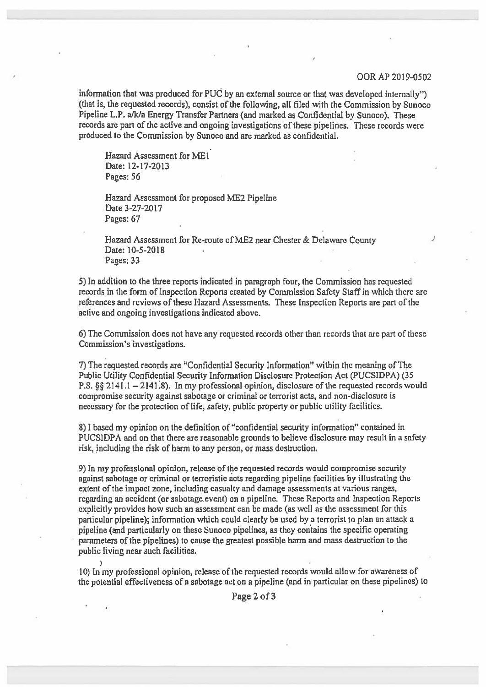#### OORAP 2019-0502

information that was produced for PUC by an external source or that was developed internally") (that is, the requested records), consist of the following, all filed with the Commission by Sunoco Pipeline L.P. a/k/a Energy Transfer Partners (and marked as Confidential by Sunoco). These records are part of the active and ongoing investigations of these pipelines. These records were produced to the Commission by Sunoeo and are marked as confidential.

Hazard Assessment for MEl Date: 12-17-2013 Pages: 56

Hazard Assessment for proposed ME2 Pipeline Date 3-27-2017 Pages: 67

Hazard Assessment for Re-route of ME2 near Chester & Delaware County Date: 10-5-2018 Pages: 33

5) In addition to the three reports indicated in paragraph four, the Commission has rcquested records in the form of Inspection Reports created by Commission Safety Staff in which there arc references and reviews of thesc Hazard Assessments. These Inspection Reports are par<sup>t</sup> of the active and ongoing investigations indicated above.

6) The Commission does not have any requested records other than records that are part of these Commission's investigations.

7) The requested records are "Confidential Security Information" within the meaning of The Public Utility Confidential Security Information Disclosure Protection Act (PUCSIDPA) (35 P.S. §§ 2141.1 - 2141.8). In my professional opinion, disclosure of the requested records would compromise security against sabotage or criminal or terrorist acts, and non-disclosure is necessary for the protection of life, safety, public property or public utility facilities.

8)1 based my opinion on the definition of "confidential security information" contained in PUCSIDPA and on that there are reasonable grounds to believe disclosure may result in <sup>a</sup> safety risk, including the risk of harm to any person, or mass destruction.

9) In my professional opinion, release of the requested records would compromise security against sabotage or criminal or terroristic acts regarding pipeline facilities by illustrating the extent of the impact zone, including casualty and damage assessments at various ranges, regarding an accident (or sabotage event) on <sup>a</sup> pipeline. These Reports and Inspection Reports explicitly provides how such an assessment can be made (as well as the assessment for this particular pipeline); information which could clearly be used by <sup>a</sup> terrorist to plan an attack <sup>a</sup> pipeline (and particularly on these Sunoco pipelines, as they contains the specific operating parameters of the pipelines) to cause the greatest possible harm and mass destruction to the public living near such facilities.

10) In my professional opinion, release of the requested records would allow for awareness of the potential effectiveness of <sup>a</sup> sabotage act on <sup>a</sup> pipeline (and in particular on these pipelines) to

Page 2 of 3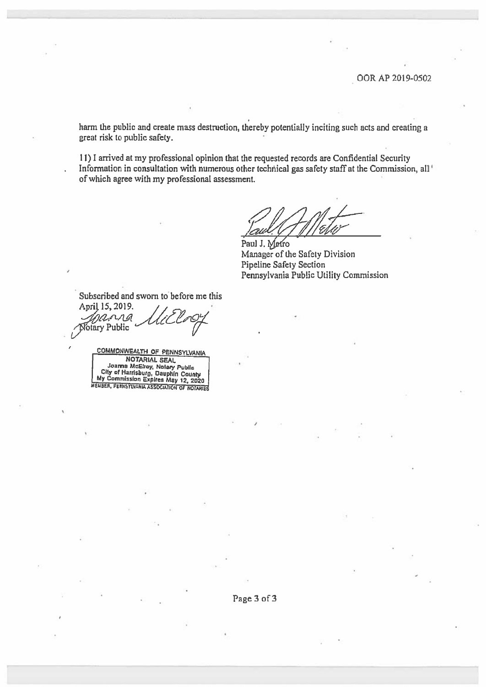harm the public and create mass destruction, thereby potentialiy inciting such acts and creating <sup>a</sup> grea<sup>t</sup> risk to public safety.

11)1 arrived at my professional opinion that the requested records are Confidential Security Information in consultation with numerous other technical gas safety staff at the Commission, all' of which agree with my professional assessment.

Paul J. Metro Manager of the Safety Division Pipeline Safety Section Pennsylvania Public Utility Commission

Subscribed and sworn to before me this April 15, 2019. rang Notary Public COMMONWEALTH OF PENNSYLVANIA

NOTARIAL SEAL Joanna McEtroy, Nolary Public<br>City of Harrisburg, Dauphin County<br>My Commission Expires May 12, 2020<br>WEWBER, FEINSYLVANA ASSOCIATION OF NOTARIES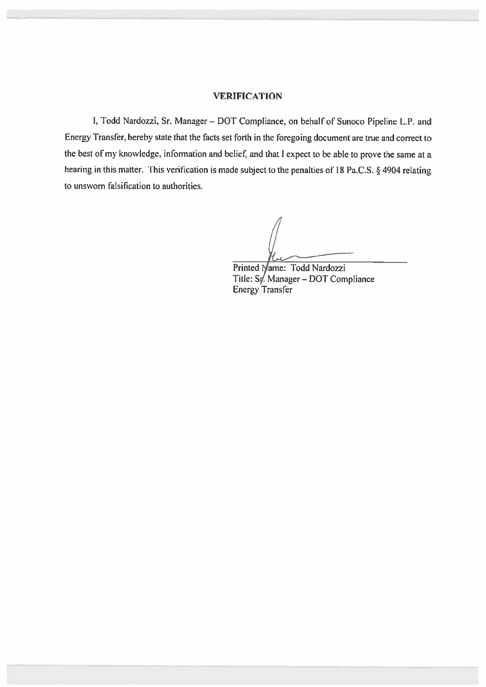#### VERIFICATION

I, Todd Nardozzi, Sr. Manager— DOT Compliance, on behalf of Sunoco Pipeline L.P. and Energy Transfer, hereby state that the facts set forth in the foregoing document are true and correct to the best of my knowledge, information and belief, and that I expect to be able to prove the same at a hearing in this matter. This verification is made subject to the penalties of <sup>18</sup> Pa.C.S. § <sup>4904</sup> relating to unswom falsification to authorities.

Printed Name: Todd Nardozzi Title: Sy. Manager - DOT Compliance Energy Transfer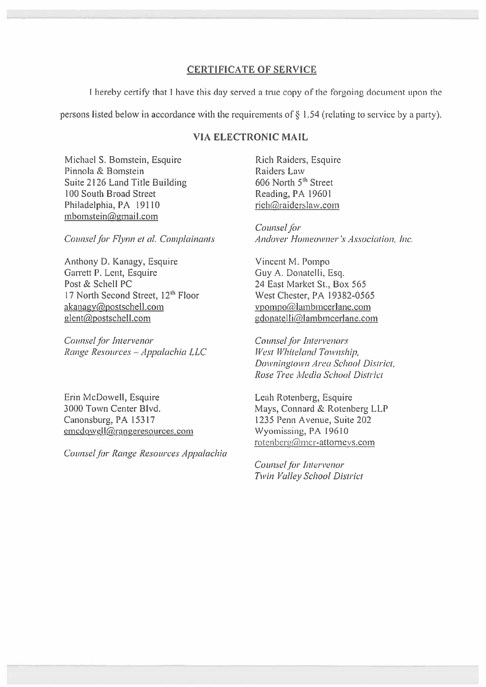#### CERTIFICATE OF SERVICE

I hereby certify that I have this day served <sup>a</sup> true copy of the forgoing document upon the

persons listed below in accordance with the requirements of  $\S$  1.54 (relating to service by a party).

#### VIA ELECTRONIC MAIL

Michael S. Bomstein, Esquire **Rich Raiders, Esquire** Rich Raiders, Esquire Pinnola & Bomstein Raiders Law Suite 2126 Land Title Building 606 North 5<sup>th</sup> Street 100 South Broad Street Reading, PA 19601 Philadelphia, PA 19110 rich@raiderslaw.com mbomstein@gmail.com

Anthony D. Kanagy, Esquire Vincent M. Pompo Garrett P. Lent, Esquire Guy A. Donatelli, Esq. Post & Schell PC 24 East Market St., Box 565 17 North Second Street, 12<sup>th</sup> Floor West Chester, PA 19382-0565 akanagy@postschell.com vpompo@lambmcerlane.com glent@postschell.com gdonatelli@lambmcerlane.com

Counsel for Intervenor Counsel for Intervenors Range Resources – Appalachia LLC 117est Whiteland Township,

Erin McDowell, Esquire **Leah Rotenberg**, Esquire Canonsburg, PA 15317 1235 Penn Avenue, Suite 202 emcdowell@rangeresources.com Wyomissing, PA 19610

Counsel for Range Resources Appalachia

Counsel for Counsel for Flynn et al. Complainants Andover Homeowner's Association, Inc.

Downingtown Area School District, Rose Tree Media School District

3000 Town Center Blvd. Mays, Connard & Rotenberg LLP rotenberg@mcr-attorneys.com

> Counsel for Intervenor Twin Valley School District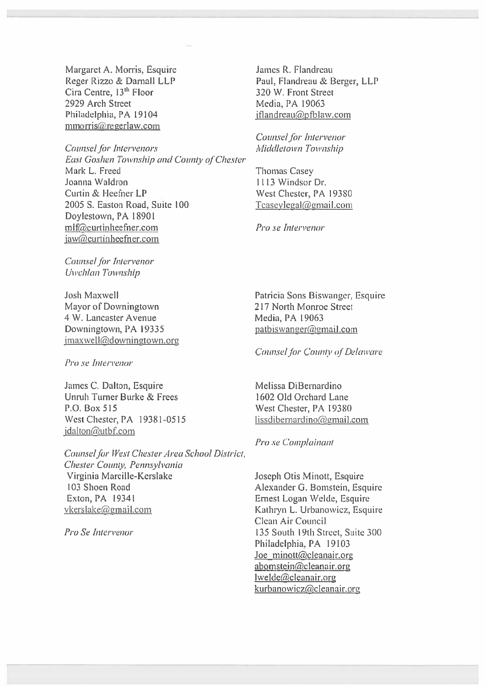Margaret A. Morris, Esquire Reger Rizzo & Darnall LLP Cira Centre, 13<sup>th</sup> Floor 2929 Arch Street Philadelphia, PA 19104 mmorris@regerlaw.com

Counsel for Intervenors East Goshen Township and County of Chester Mark L. Freed Joanna Waldron Curtin & Heefner LP 2005 S. Easton Road, Suite 100 Doylestown, PA 18901 mlf@curtinheefner.com jaw@curtinheefner.com

Counsel for Intervenor Uwchlan Township

Josh Maxwell Mayor of Downingtown 4 W. Lancaster Avenue Downingtown, PA 19335 jmaxwell(a)downingtown.org

Pro se Inten'enor

James C. Dalton, Esquire Unruh Turner Burke & Frees P.O. Box 515 West Chester, PA 19381-0515  $i$ dalton $@$ utbf.com

Counsel for West Chester Area School District, Chester County, Pennsylvania Virginia Marcille-Kerslake 103 Shoen Road Exton, PA 19341 vkerslake@gmail.com

Pro Se Intervenor

James R. Flandreau Paul, Flandreau & Berger, LLP 320 W. Front Street Media, PA 19063 iflandreau $@p$ fblaw.com

Counsel for Intervenor Middletown Township

Thomas Casey 1113 Windsor Dr. West Chester, PA 19380  $T$ caseylegal $@$ gmail.com

Pro se Intervenor

Patricia Sons Biswanger, Esquire 217 North Monroe Street Media, PA 19063 patbiswanger@gmail.com

Counsel for County of Delaware

Melissa DiBernardino 1602 Old Orchard Lane West Chester, PA 19380 lissdibernardino@gmail.com

Pro se Complainant

Joseph Otis Minott, Esquire Alexander G. Bomstein, Esquire Ernest Logan Welde, Esquire Kathryn L. Urbanowicz, Esquire Clean Air Council 135 South 19th Street, Suite 300 Philadelphia, PA 19103 Joe minott@cleanair.org  $abomstein@cleanair.org$ lwelde@cleanair.org kurbanowicz@cleanair.org